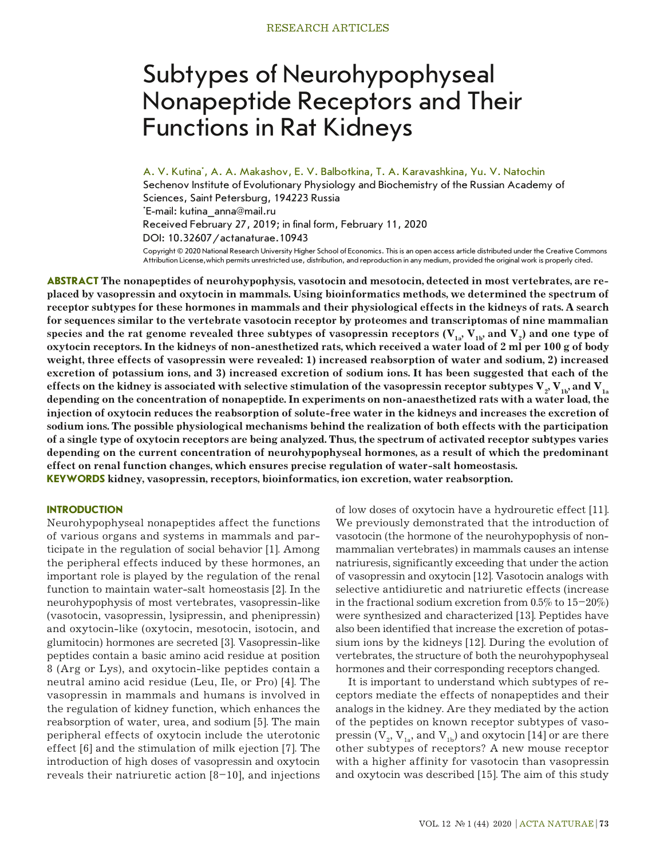# Subtypes of Neurohypophyseal Nonapeptide Receptors and Their Functions in Rat Kidneys

A. V. Kutina\* , A. A. Makashov, E. V. Balbotkina, T. A. Karavashkina, Yu. V. Natochin

Sechenov Institute of Evolutionary Physiology and Biochemistry of the Russian Academy of Sciences, Saint Petersburg, 194223 Russia \* E-mail: kutina\_anna@mail.ru Received February 27, 2019; in final form, February 11, 2020 DOI: 10.32607/actanaturae.10943

Copyright © 2020 National Research University Higher School of Economics. This is an open access article distributed under the Creative Commons Attribution License,which permits unrestricted use, distribution, and reproduction in any medium, provided the original work is properly cited.

**ABSTRACT The nonapeptides of neurohypophysis, vasotocin and mesotocin, detected in most vertebrates, are replaced by vasopressin and oxytocin in mammals. Using bioinformatics methods, we determined the spectrum of receptor subtypes for these hormones in mammals and their physiological effects in the kidneys of rats. A search for sequences similar to the vertebrate vasotocin receptor by proteomes and transcriptomas of nine mammalian**  species and the rat genome revealed three subtypes of vasopressin receptors ( $\rm V_{_{1a}},$   $\rm V_{_{1b}},$  and  $\rm V_{_2})$  and one type of **oxytocin receptors. In the kidneys of non-anesthetized rats, which received a water load of 2 ml per 100 g of body weight, three effects of vasopressin were revealed: 1) increased reabsorption of water and sodium, 2) increased excretion of potassium ions, and 3) increased excretion of sodium ions. It has been suggested that each of the**  effects on the kidney is associated with selective stimulation of the vasopressin receptor subtypes  $\bf{V}_{_2},\bf{V}_{_{1b}}$  and  $\bf{V}_{_{1a}}$ **depending on the concentration of nonapeptide. In experiments on non-anaesthetized rats with a water load, the injection of oxytocin reduces the reabsorption of solute-free water in the kidneys and increases the excretion of sodium ions. The possible physiological mechanisms behind the realization of both effects with the participation of a single type of oxytocin receptors are being analyzed. Thus, the spectrum of activated receptor subtypes varies depending on the current concentration of neurohypophyseal hormones, as a result of which the predominant effect on renal function changes, which ensures precise regulation of water-salt homeostasis. KEYWORDS kidney, vasopressin, receptors, bioinformatics, ion excretion, water reabsorption.**

## **INTRODUCTION**

Neurohypophyseal nonapeptides affect the functions of various organs and systems in mammals and participate in the regulation of social behavior [1]. Among the peripheral effects induced by these hormones, an important role is played by the regulation of the renal function to maintain water-salt homeostasis [2]. In the neurohypophysis of most vertebrates, vasopressin-like (vasotocin, vasopressin, lysipressin, and phenipressin) and oxytocin-like (oxytocin, mesotocin, isotocin, and glumitocin) hormones are secreted [3]. Vasopressin-like peptides contain a basic amino acid residue at position 8 (Arg or Lys), and oxytocin-like peptides contain a neutral amino acid residue (Leu, Ile, or Pro) [4]. The vasopressin in mammals and humans is involved in the regulation of kidney function, which enhances the reabsorption of water, urea, and sodium [5]. The main peripheral effects of oxytocin include the uterotonic effect [6] and the stimulation of milk ejection [7]. The introduction of high doses of vasopressin and oxytocin reveals their natriuretic action  $[8-10]$ , and injections of low doses of oxytocin have a hydrouretic effect [11]. We previously demonstrated that the introduction of vasotocin (the hormone of the neurohypophysis of nonmammalian vertebrates) in mammals causes an intense natriuresis, significantly exceeding that under the action of vasopressin and oxytocin [12]. Vasotocin analogs with selective antidiuretic and natriuretic effects (increase in the fractional sodium excretion from  $0.5\%$  to  $15-20\%)$ were synthesized and characterized [13]. Peptides have also been identified that increase the excretion of potassium ions by the kidneys [12]. During the evolution of vertebrates, the structure of both the neurohypophyseal hormones and their corresponding receptors changed.

It is important to understand which subtypes of receptors mediate the effects of nonapeptides and their analogs in the kidney. Are they mediated by the action of the peptides on known receptor subtypes of vasopressin ( $V_2$ ,  $V_{1a}$ , and  $V_{1b}$ ) and oxytocin [14] or are there other subtypes of receptors? A new mouse receptor with a higher affinity for vasotocin than vasopressin and oxytocin was described [15]. The aim of this study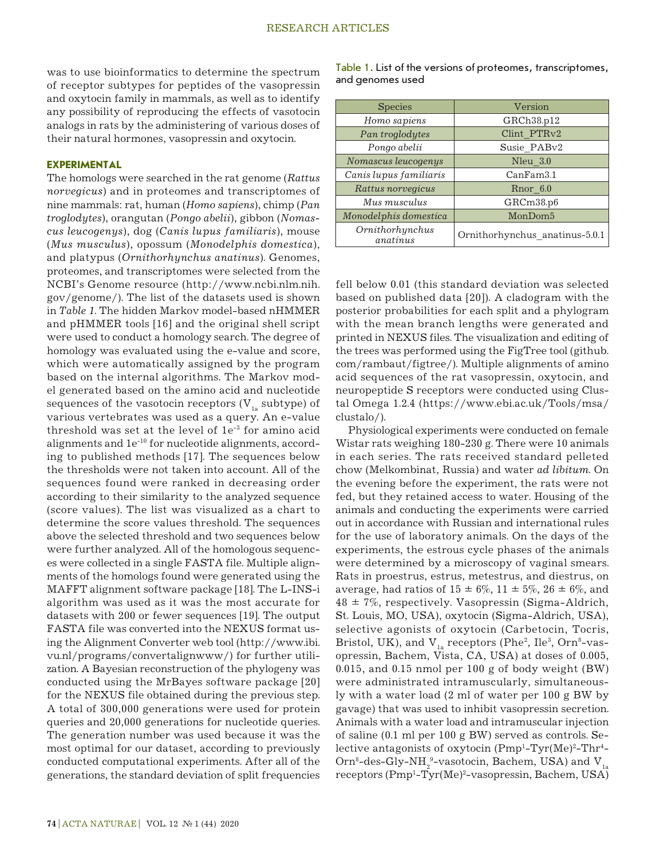was to use bioinformatics to determine the spectrum of receptor subtypes for peptides of the vasopressin and oxytocin family in mammals, as well as to identify any possibility of reproducing the effects of vasotocin analogs in rats by the administering of various doses of their natural hormones, vasopressin and oxytocin.

## **EXPERIMENTAL**

The homologs were searched in the rat genome (*Rattus norvegicus*) and in proteomes and transcriptomes of nine mammals: rat, human (*Homo sapiens*), chimp (*Pan troglodytes*), orangutan (*Pongo abelii*), gibbon (*Nomascus leucogenys*), dog (*Canis lupus familiaris*), mouse (*Mus musculus*), opossum (*Monodelphis domestica*), and platypus (*Ornithorhynchus anatinus*). Genomes, proteomes, and transcriptomes were selected from the NCBI's Genome resource (http://www.ncbi.nlm.nih. gov/genome/). The list of the datasets used is shown in *Table 1*. The hidden Markov model-based nHMMER and pHMMER tools [16] and the original shell script were used to conduct a homology search. The degree of homology was evaluated using the e-value and score, which were automatically assigned by the program based on the internal algorithms. The Markov model generated based on the amino acid and nucleotide sequences of the vasotocin receptors  $(V_{1a}$  subtype) of various vertebrates was used as a query. An e-value threshold was set at the level of 1e-3 for amino acid alignments and 1e-10 for nucleotide alignments, according to published methods [17]. The sequences below the thresholds were not taken into account. All of the sequences found were ranked in decreasing order according to their similarity to the analyzed sequence (score values). The list was visualized as a chart to determine the score values threshold. The sequences above the selected threshold and two sequences below were further analyzed. All of the homologous sequences were collected in a single FASTA file. Multiple alignments of the homologs found were generated using the MAFFT alignment software package [18]. The L-INS-i algorithm was used as it was the most accurate for datasets with 200 or fewer sequences [19]. The output FASTA file was converted into the NEXUS format using the Alignment Converter web tool (http://www.ibi. vu.nl/programs/convertalignwww/) for further utilization. A Bayesian reconstruction of the phylogeny was conducted using the MrBayes software package [20] for the NEXUS file obtained during the previous step. A total of 300,000 generations were used for protein queries and 20,000 generations for nucleotide queries. The generation number was used because it was the most optimal for our dataset, according to previously conducted computational experiments. After all of the generations, the standard deviation of split frequencies Table 1. List of the versions of proteomes, transcriptomes, and genomes used

| <b>Species</b>              | Version                        |  |
|-----------------------------|--------------------------------|--|
| Homo sapiens                | GRCh38.p12                     |  |
| Pan troglodytes             | Clint PTRv2                    |  |
| Pongo abelii                | Susie PABv2                    |  |
| Nomascus leucogenys         | Nleu 3.0                       |  |
| Canis lupus familiaris      | CanFam3.1                      |  |
| Rattus norvegicus           | Rnor 6.0                       |  |
| Mus musculus                | GRCm38.p6                      |  |
| Monodelphis domestica       | MonDom <sub>5</sub>            |  |
| Ornithorhynchus<br>anatinus | Ornithorhynchus anatinus-5.0.1 |  |

fell below 0.01 (this standard deviation was selected based on published data [20]). A cladogram with the posterior probabilities for each split and a phylogram with the mean branch lengths were generated and printed in NEXUS files. The visualization and editing of the trees was performed using the FigTree tool (github. com/rambaut/figtree/). Multiple alignments of amino acid sequences of the rat vasopressin, oxytocin, and neuropeptide S receptors were conducted using Clustal Omega 1.2.4 (https://www.ebi.ac.uk/Tools/msa/ clustalo/).

Physiological experiments were conducted on female Wistar rats weighing 180-230 g. There were 10 animals in each series. The rats received standard pelleted chow (Melkombinat, Russia) and water *ad libitum*. On the evening before the experiment, the rats were not fed, but they retained access to water. Housing of the animals and conducting the experiments were carried out in accordance with Russian and international rules for the use of laboratory animals. On the days of the experiments, the estrous cycle phases of the animals were determined by a microscopy of vaginal smears. Rats in proestrus, estrus, metestrus, and diestrus, on average, had ratios of  $15 \pm 6\%$ ,  $11 \pm 5\%$ ,  $26 \pm 6\%$ , and  $48 \pm 7\%$ , respectively. Vasopressin (Sigma-Aldrich, St. Louis, MO, USA), oxytocin (Sigma-Aldrich, USA), selective agonists of oxytocin (Carbetocin, Tocris, Bristol, UK), and  $V_{1a}$  receptors (Phe<sup>2</sup>, Ile<sup>3</sup>, Orn<sup>8</sup>-vasopressin, Bachem, Vista, CA, USA) at doses of 0.005, 0.015, and 0.15 nmol per 100 g of body weight (BW) were administrated intramuscularly, simultaneously with a water load (2 ml of water per 100 g BW by gavage) that was used to inhibit vasopressin secretion. Animals with a water load and intramuscular injection of saline (0.1 ml per 100 g BW) served as controls. Selective antagonists of oxytocin (Pmp<sup>1</sup>-Tyr(Me)<sup>2</sup>-Thr<sup>4</sup>-Orn $^{8}$ -des-Gly-N $\rm H_2$  $^{9}$ -vasotocin, Bachem, USA) and V<sub>1a</sub> receptors (Pmp<sup>1</sup>-Tyr(Me)<sup>2</sup>-vasopressin, Bachem, USA)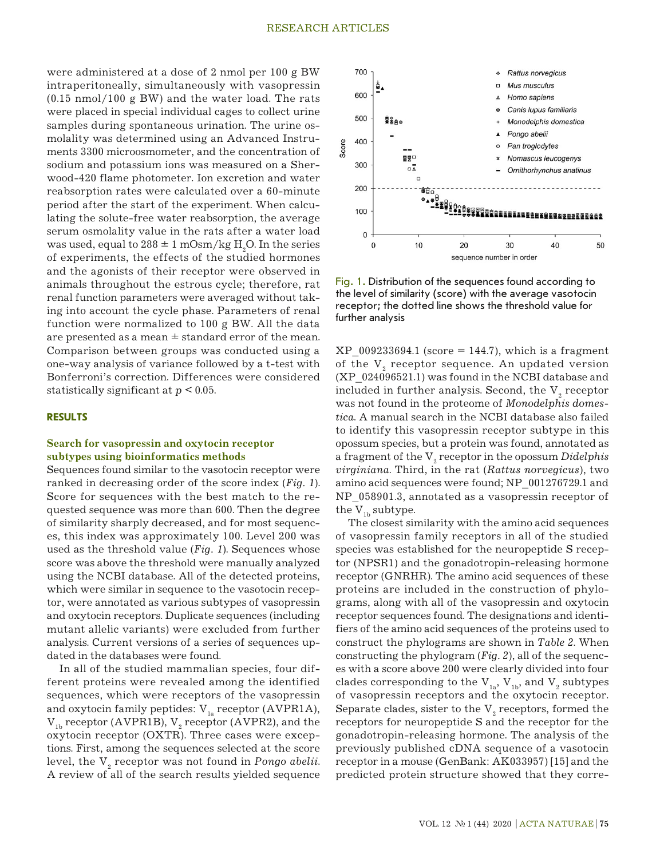were administered at a dose of 2 nmol per 100 g BW intraperitoneally, simultaneously with vasopressin (0.15 nmol/100 g BW) and the water load. The rats were placed in special individual cages to collect urine samples during spontaneous urination. The urine osmolality was determined using an Advanced Instruments 3300 microosmometer, and the concentration of sodium and potassium ions was measured on a Sherwood-420 flame photometer. Ion excretion and water reabsorption rates were calculated over a 60-minute period after the start of the experiment. When calculating the solute-free water reabsorption, the average serum osmolality value in the rats after a water load was used, equal to  $288 \pm 1$  mOsm/kg  $\rm H_{2}O$ . In the series of experiments, the effects of the studied hormones and the agonists of their receptor were observed in animals throughout the estrous cycle; therefore, rat renal function parameters were averaged without taking into account the cycle phase. Parameters of renal function were normalized to 100 g BW. All the data are presented as a mean  $\pm$  standard error of the mean. Comparison between groups was conducted using a one-way analysis of variance followed by a t-test with Bonferroni's correction. Differences were considered statistically significant at *p* < 0.05.

## **RESULTS**

## **Search for vasopressin and oxytocin receptor subtypes using bioinformatics methods**

Sequences found similar to the vasotocin receptor were ranked in decreasing order of the score index (*Fig. 1*). Score for sequences with the best match to the requested sequence was more than 600. Then the degree of similarity sharply decreased, and for most sequences, this index was approximately 100. Level 200 was used as the threshold value (*Fig. 1*). Sequences whose score was above the threshold were manually analyzed using the NCBI database. All of the detected proteins, which were similar in sequence to the vasotocin receptor, were annotated as various subtypes of vasopressin and oxytocin receptors. Duplicate sequences (including mutant allelic variants) were excluded from further analysis. Current versions of a series of sequences updated in the databases were found.

In all of the studied mammalian species, four different proteins were revealed among the identified sequences, which were receptors of the vasopressin and oxytocin family peptides:  $V_{1a}$  receptor (AVPR1A),  $V_{1b}$  receptor (AVPR1B),  $V_{2}$  receptor (AVPR2), and the oxytocin receptor (ОXTR). Three cases were exceptions. First, among the sequences selected at the score level, the V<sub>2</sub> receptor was not found in *Pongo abelii*. A review of all of the search results yielded sequence



Fig. 1. Distribution of the sequences found according to the level of similarity (score) with the average vasotocin receptor; the dotted line shows the threshold value for further analysis

 $XP$  009233694.1 (score = 144.7), which is a fragment of the  $\mathrm{V}_\mathrm{2}$  receptor sequence. An updated version (XP\_024096521.1) was found in the NCBI database and included in further analysis. Second, the  $\mathrm{V}_\mathrm{2}$  receptor was not found in the proteome of *Monodelphis domestica*. A manual search in the NCBI database also failed to identify this vasopressin receptor subtype in this opossum species, but a protein was found, annotated as a fragment of the V<sub>2</sub> receptor in the opossum *Didelphis virginiana*. Third, in the rat (*Rattus norvegicus*), two amino acid sequences were found; NP\_001276729.1 and NP\_058901.3, annotated as a vasopressin receptor of the  $V_{1b}$  subtype.

The closest similarity with the amino acid sequences of vasopressin family receptors in all of the studied species was established for the neuropeptide S receptor (NPSR1) and the gonadotropin-releasing hormone receptor (GNRHR). The amino acid sequences of these proteins are included in the construction of phylograms, along with all of the vasopressin and oxytocin receptor sequences found. The designations and identifiers of the amino acid sequences of the proteins used to construct the phylograms are shown in *Table 2*. When constructing the phylogram (*Fig. 2*), all of the sequences with a score above 200 were clearly divided into four clades corresponding to the  $\rm V_{1a},\, V_{1b},$  and  $\rm V_{2}$  subtypes of vasopressin receptors and the oxytocin receptor. Separate clades, sister to the  $\mathbf{V}_\text{2}$  receptors, formed the receptors for neuropeptide S and the receptor for the gonadotropin-releasing hormone. The analysis of the previously published cDNA sequence of a vasotocin receptor in a mouse (GenBank: AK033957) [15] and the predicted protein structure showed that they corre-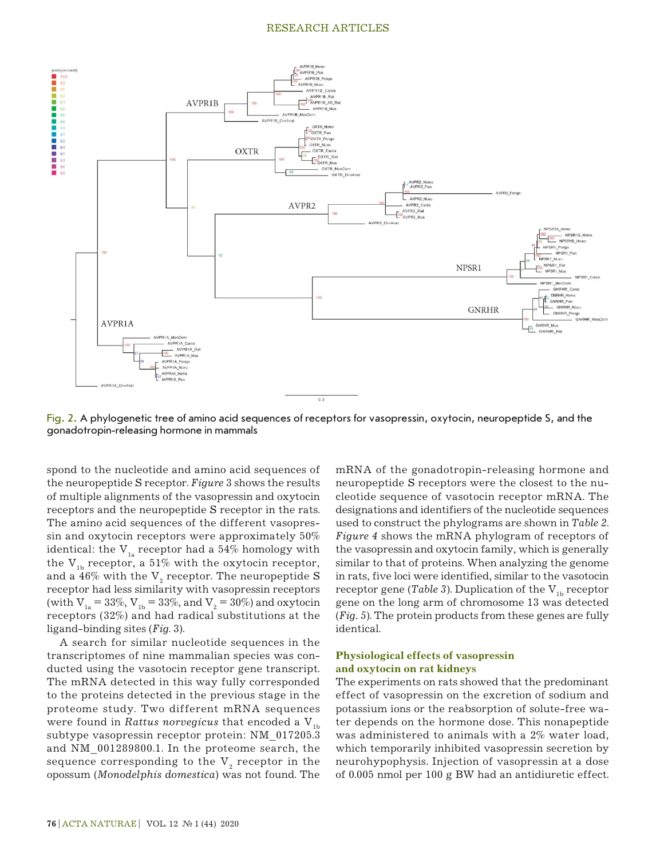

Fig. 2. A phylogenetic tree of amino acid sequences of receptors for vasopressin, oxytocin, neuropeptide S, and the gonadotropin-releasing hormone in mammals

spond to the nucleotide and amino acid sequences of the neuropeptide S receptor. *Figure* 3 shows the results of multiple alignments of the vasopressin and oxytocin receptors and the neuropeptide S receptor in the rats. The amino acid sequences of the different vasopressin and oxytocin receptors were approximately 50% identical: the  $V_{1a}$  receptor had a 54% homology with the  $V_{1b}$  receptor, a 51% with the oxytocin receptor, and a 46% with the  $\rm V_{_2}$  receptor. The neuropeptide  $\rm S$ receptor had less similarity with vasopressin receptors (with  $V_{1a} = 33\%, V_{1b} = 33\%,$  and  $V_{2} = 30\%$ ) and oxytocin receptors (32%) and had radical substitutions at the ligand-binding sites (*Fig*. 3).

A search for similar nucleotide sequences in the transcriptomes of nine mammalian species was conducted using the vasotocin receptor gene transcript. The mRNA detected in this way fully corresponded to the proteins detected in the previous stage in the proteome study. Two different mRNA sequences were found in *Rattus norvegicus* that encoded a  $V_{1b}$ subtype vasopressin receptor protein: NM\_017205.3 and NM\_001289800.1. In the proteome search, the sequence corresponding to the  $\mathrm{V}_{_{2}}$  receptor in the opossum (*Monodelphis domestica*) was not found. The

mRNA of the gonadotropin-releasing hormone and neuropeptide S receptors were the closest to the nucleotide sequence of vasotocin receptor mRNA. The designations and identifiers of the nucleotide sequences used to construct the phylograms are shown in *Table 2*. *Figure 4* shows the mRNA phylogram of receptors of the vasopressin and oxytocin family, which is generally similar to that of proteins. When analyzing the genome in rats, five loci were identified, similar to the vasotocin receptor gene (*Table 3*). Duplication of the  $V_{1b}$  receptor gene on the long arm of chromosome 13 was detected (*Fig. 5*). The protein products from these genes are fully identical.

## **Physiological effects of vasopressin and oxytocin on rat kidneys**

The experiments on rats showed that the predominant effect of vasopressin on the excretion of sodium and potassium ions or the reabsorption of solute-free water depends on the hormone dose. This nonapeptide was administered to animals with a 2% water load, which temporarily inhibited vasopressin secretion by neurohypophysis. Injection of vasopressin at a dose of 0.005 nmol per 100 g BW had an antidiuretic effect.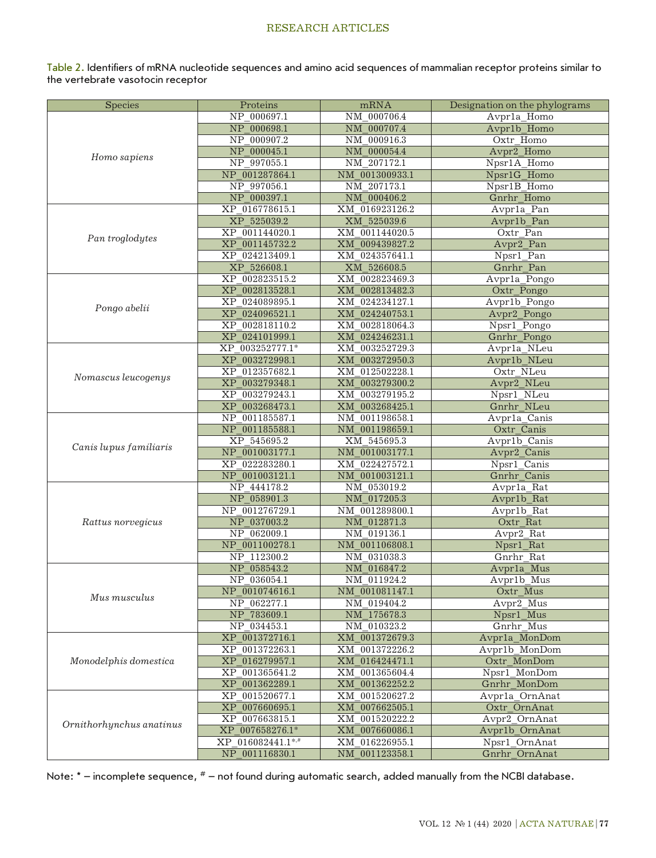Table 2. Identifiers of mRNA nucleotide sequences and amino acid sequences of mammalian receptor proteins similar to the vertebrate vasotocin receptor

| <b>Species</b>           | Proteins          | mRNA           | Designation on the phylograms |
|--------------------------|-------------------|----------------|-------------------------------|
|                          | NP 000697.1       | NM 000706.4    | Avprla Homo                   |
|                          | NP 000698.1       | NM 000707.4    | Avpr1b_Homo                   |
|                          | NP 000907.2       | NM 000916.3    | Oxtr Homo                     |
|                          | NP 000045.1       | NM_000054.4    | Avpr2_Homo                    |
| Homo sapiens             | NP 997055.1       | NM 207172.1    | Npsr1A_Homo                   |
|                          | NP 001287864.1    | NM 001300933.1 | Npsr1G_Homo                   |
|                          | NP 997056.1       | NM 207173.1    | Npsr1B_Homo                   |
|                          | NP 000397.1       | NM_000406.2    | Gnrhr_Homo                    |
|                          | XP 016778615.1    | XM 016923126.2 | Avpr1a_Pan                    |
|                          | XP 525039.2       | XM 525039.6    | Avpr1b_Pan                    |
|                          | XP 001144020.1    | XM 001144020.5 | Oxtr Pan                      |
| Pan troglodytes          | XP 001145732.2    | XM_009439827.2 | Avpr2_Pan                     |
|                          | XP 024213409.1    | XM 024357641.1 | Npsr1 Pan                     |
|                          | XP 526608.1       | XM 526608.5    | Gnrhr Pan                     |
|                          | XP 002823515.2    | XM 002823469.3 | Avpr1a_Pongo                  |
|                          | XP 002813528.1    | XM_002813482.3 | Oxtr_Pongo                    |
|                          | XP 024089895.1    | XM 024234127.1 | Avpr1b_Pongo                  |
| Pongo abelii             | XP 024096521.1    | XM 024240753.1 | Avpr2_Pongo                   |
|                          | XP 002818110.2    | XM 002818064.3 | Npsr1_Pongo                   |
|                          | XP_024101999.1    | XM_024246231.1 | Gnrhr_Pongo                   |
|                          | XP 003252777.1*   | XM 003252729.3 | Avpr1a NLeu                   |
|                          | XP 003272998.1    | XM 003272950.3 | Avpr1b_NLeu                   |
|                          | XP 012357682.1    | XM 012502228.1 | Oxtr NLeu                     |
| Nomascus leucogenys      | XP 003279348.1    | XM 003279300.2 | Avpr <sub>2_NLeu</sub>        |
|                          | XP 003279243.1    | XM 003279195.2 | Npsr1_NLeu                    |
|                          | XP 003268473.1    | XM_003268425.1 | Gnrhr_NLeu                    |
|                          | NP 001185587.1    | NM 001198658.1 | Avpr1a_Canis                  |
|                          | NP 001185588.1    | NM 001198659.1 | Oxtr Canis                    |
|                          | XP 545695.2       | XM 545695.3    | Avpr1b_Canis                  |
| Canis lupus familiaris   | NP 001003177.1    | NM 001003177.1 | Avpr2_Canis                   |
|                          | XP 022283280.1    | XM 022427572.1 | Npsr1_Canis                   |
|                          | NP 001003121.1    | NM 001003121.1 | Gnrhr_Canis                   |
|                          | NP 444178.2       | NM 053019.2    | Avpr1a_Rat                    |
|                          | NP 058901.3       | NM 017205.3    | Avpr1b_Rat                    |
|                          | NP 001276729.1    | NM 001289800.1 | Avpr1b_Rat                    |
| Rattus norvegicus        | NP 037003.2       | NM_012871.3    | Oxtr_Rat                      |
|                          | NP 062009.1       | NM 019136.1    | Avpr2_Rat                     |
|                          | NP_001100278.1    | NM_001106808.1 | Npsr1_Rat                     |
|                          | NP 112300.2       | NM 031038.3    | Gnrhr Rat                     |
|                          | NP 058543.2       | NM_016847.2    | Avpr1a_Mus                    |
|                          | NP 036054.1       | NM 011924.2    | Avpr1b Mus                    |
| Mus musculus             | NP_001074616.1    | NM_001081147.1 | Oxtr_Mus                      |
|                          | NP 062277.1       | NM 019404.2    | Avpr2_Mus                     |
|                          | NP_783609.1       | NM 175678.3    | Npsr1_Mus                     |
|                          | NP 034453.1       | NM_010323.2    | Gnrhr Mus                     |
|                          | XP_001372716.1    | XM_001372679.3 | Avpr1a_MonDom                 |
|                          | XP 001372263.1    | XM 001372226.2 | Avpr1b MonDom                 |
| Monodelphis domestica    | XP_016279957.1    | XM_016424471.1 | Oxtr_MonDom                   |
|                          | XP_001365641.2    | XM 001365604.4 | Npsr1_MonDom                  |
|                          | XP 001362289.1    | XM 001362252.2 | Gnrhr_MonDom                  |
|                          | XP 001520677.1    | XM 001520627.2 | Avpr1a_OrnAnat                |
|                          | XP_007660695.1    | XM_007662505.1 | Oxtr_OrnAnat                  |
| Ornithorhynchus anatinus | XP 007663815.1    | XM_001520222.2 | Avpr2 OrnAnat                 |
|                          | XP 007658276.1*   | XM 007660086.1 | Avpr1b_OrnAnat                |
|                          | XP 016082441.1*,# | XM 016226955.1 | Npsr1_OrnAnat                 |
|                          | NP_001116830.1    | NM_001123358.1 | Gnrhr_OrnAnat                 |

Note: \* – incomplete sequence, # – not found during automatic search, added manually from the NCBI database.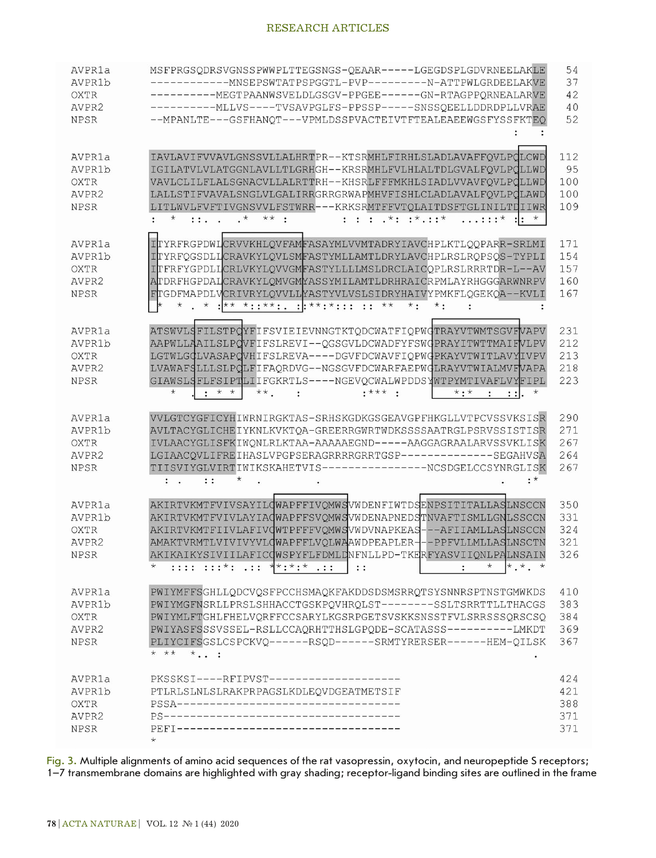| AVPR1a<br>AVPR1b<br><b>OXTR</b><br>AVPR2<br><b>NPSR</b> | MSFPRGSQDRSVGNSSPWWPLTTEGSNGS-QEAAR-----LGEGDSPLGDVRNEELAKLE<br>-------------MNSEPSWTATPSPGGTL-PVP---------N-ATTPWLGRDEELAKVE<br>-----------MEGTPAANWSVELDLGSGV-PPGEE------GN-RTAGPPORNEALARVE<br>-----------MLLVS----TVSAVPGLFS-PPSSP-----SNSSQEELLDDRDPLLVRAE<br>--MPANLTE---GSFHANQT---VPMLDSSPVACTEIVTFTEALEAEEWGSFYSSFKTEQ                                                                                                                                               | 54<br>37<br>42<br>40<br>52      |
|---------------------------------------------------------|-------------------------------------------------------------------------------------------------------------------------------------------------------------------------------------------------------------------------------------------------------------------------------------------------------------------------------------------------------------------------------------------------------------------------------------------------------------------------------|---------------------------------|
| AVPR1a<br>AVPR1b<br><b>OXTR</b><br>AVPR2<br><b>NPSR</b> | IAVLAVIFVVAVLGNSSVLLALHRTPR--KTSRMHLFIRHLSLADLAVAFFQVLPQLCWD<br>IGILATVLVLATGGNLAVLLTLGRHGH--KRSRMHLFVLHLALTDLGVALFQVLPQLLWD<br>VAVLCLILFLALSGNACVLLALRTTRH--KHSRLFFFMKHLSIADLVVAVFQVLPQLLWD<br>LALLSTIFVAVALSNGLVLGALIRRGRRGRWAPMHVFISHLCLADLAVALFQVLPQLAWD<br>LITLWVLFVFTIVGNSVVLFSTWRR---KRKSRMTFFVTQLAITDSFTGLINILTDIIWR<br>$***$ :<br>$: : : \cdot$ *: $: * \cdot : *$<br>$\mathbf{1} \mathbf{1} \cdot \mathbf{1} \cdot \mathbf{1}$<br>$\ldots$ :: $\star$ ::<br>$\star$ | 112<br>95<br>100<br>100<br>109  |
| AVPR1a<br>AVPR1b<br><b>OXTR</b><br>AVPR2<br><b>NPSR</b> | ITYRFRGPDWLCRVVKHLQVFAMFASAYMLVVMTADRYIAVCHPLKTLQQPARR-SRLMI<br>ITYRFQGSDLLCRAVKYLQVLSMFASTYMLLAMTLDRYLAVCHPLRSLRQPSQS-TYPLI<br>ITFRFYGPDLLCRLVKYLQVVGMFASTYLLLLMSLDRCLAICQPLRSLRRRTDR-L--AV<br>ATDRFHGPDALCRAVKYLQMVGMYASSYMILAMTLDRHRAICRPMLAYRHGGGARWNRPV<br>FTGDFMAPDLVCRIVRYLQVVLLYASTYVLVSLSIDRYHAIVYPMKFLQGEKQA--KVLI<br>* . * : * *:: **: : : **: : : : **<br>$\star$ :<br>$\star$ :                                                                                  | 171<br>154<br>157<br>160<br>167 |
| AVPR1a<br>AVPR1b<br><b>OXTR</b><br>AVPR2<br><b>NPSR</b> | ATSWVLGFILSTPCYFIFSVIEIEVNNGTKTODCWATFIOPWGTRAYVTWMTSGVFVAPV<br>AAPWLLAAILSLPQVFIFSLREVI--QGSGVLDCWADFYFSWGPRAYITWTTMAIFVLPV<br>LGTWLGQLVASAPQVHIFSLREVA----DGVFDCWAVFIOPWQPKAYVTWITLAVYIVPV<br>LVAWAFSLLLSLPCLFIFAQRDVG--NGSGVFDCWARFAEPWGLRAYVTWIALMVFVAPA<br>GIAWSLSFLFSIPTLIIFGKRTLS----NGEVQCWALWPDDSYWTPYMTIVAFLVYFIPL<br>$\star$<br>$\div$ * *<br>$***$ .<br>$***$ :<br>$^{\star}$<br>$\star$ : $\star$<br>$\cdot$<br>$\ddot{\cdot}$<br>$\vdots$                       | 231<br>212<br>213<br>218<br>223 |
| AVPR1a<br>AVPR1b<br><b>OXTR</b><br>AVPR2<br><b>NPSR</b> | VVLGTCYGFICYHIWRNIRGKTAS-SRHSKGDKGSGEAVGPFHKGLLVTPCVSSVKSISR<br>AVLTACYGLICHEIYKNLKVKTQA-GREERRGWRTWDKSSSSAATRGLPSRVSSISTISR<br>IVLAACYGLISFKIWONLRLKTAA-AAAAAEGND-----AAGGAGRAALARVSSVKLISK<br>LGIAACQVLIFREIHASLVPGPSERAGRRRRGRRTGSP-------------SEGAHVSA<br>TIISVIYGLVIRTIWIKSKAHETVIS----------------NCSDGELCCSYNRGLISK<br>$: *$<br>$\vdots$<br>$\ddot{\cdot}$                                                                                                            | 290<br>271<br>267<br>264<br>267 |
| AVPR1a<br>AVPR1b<br><b>OXTR</b><br>AVPR2<br>NPSR        | AKIRTVKMTFVIVSAYILQWAPFFIVQMWSVWDENFIWTDSENPSITITALLASLNSCCN<br>AKIRTVKMTFVIVLAYIAQWAPFFSVQMWSVWDENAPNEDSTNVAFTISMLLGNLSSCCN<br>AKIRTVKMTFIIVLAFIVQWTPFFFVQMWSVWDVNAPKEAS---AFIIAMLLASLNSCCN<br>AMAKTVRMTLVIVIVYVLQWAPFFLVQLWAAWDPEAPLER---PPFVLLMLLASLNSCTN<br>AKIKAIKYSIVIILAFICOWSPYFLFDMLONFNLLPD-TKERFYASVIIONLPALNSAIN<br>$*$<br>$\star$ $\star$ $\star$<br>$\star$<br>$: : : : : : * :  : :$<br>$\vdots$                                                               | 350<br>331<br>324<br>321<br>326 |
| AVPR1a<br>AVPR1b<br><b>OXTR</b><br>AVPR2<br><b>NPSR</b> | PWIYMFFSGHLLQDCVQSFPCCHSMAQKFAKDDSDSMSRRQTSYSNNRSPTNSTGMWKDS<br>PWIYMGFNSRLLPRSLSHHACCTGSKPQVHRQLST--------SSLTSRRTTLLTHACGS<br>PWIYMLFTGHLFHELVQRFFCCSARYLKGSRPGETSVSKKSNSSTFVLSRRSSSQRSCSQ<br>PWIYASFSSSVSSEL-RSLLCCAORHTTHSLGPODE-SCATASSS----------LMKDT<br>PLIYCIFSGSLCSPCKVQ------RSQD------SRMTYRERSER------HEM-QILSK<br>* **<br>$\star$                                                                                                                               | 410<br>383<br>384<br>369<br>367 |
| AVPR1a<br>AVPR1b<br><b>OXTR</b><br>AVPR2<br><b>NPSR</b> | PKSSKSI----RFIPVST--------------------<br>PTLRLSLNLSLRAKPRPAGSLKDLEOVDGEATMETSIF<br>PEFI-----------------------------------                                                                                                                                                                                                                                                                                                                                                   | 424<br>421<br>388<br>371<br>371 |

Fig. 3. Multiple alignments of amino acid sequences of the rat vasopressin, oxytocin, and neuropeptide S receptors; 1–7 transmembrane domains are highlighted with gray shading; receptor-ligand binding sites are outlined in the frame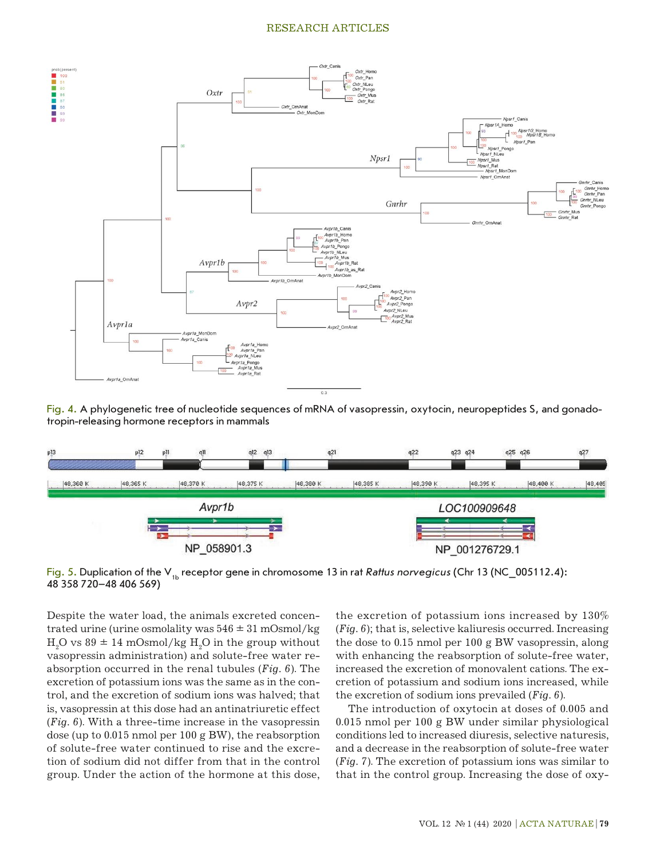

Fig. 4. A phylogenetic tree of nucleotide sequences of mRNA of vasopressin, oxytocin, neuropeptides S, and gonadotropin-releasing hormone receptors in mammals



Fig. 5. Duplication of the V<sub>1b</sub> receptor gene in chromosome 13 in rat *Rattus norvegicus* (Chr 13 (NC\_005112.4): 48 358 720–48 406 569)

Despite the water load, the animals excreted concentrated urine (urine osmolality was  $546 \pm 31$  mOsmol/kg  $\rm H_2O$  vs 89  $\pm$  14 mOsmol/kg  $\rm H_2O$  in the group without vasopressin administration) and solute-free water reabsorption occurred in the renal tubules (*Fig. 6*). The excretion of potassium ions was the same as in the control, and the excretion of sodium ions was halved; that is, vasopressin at this dose had an antinatriuretic effect (*Fig. 6*). With a three-time increase in the vasopressin dose (up to 0.015 nmol per 100 g BW), the reabsorption of solute-free water continued to rise and the excretion of sodium did not differ from that in the control group. Under the action of the hormone at this dose,

the excretion of potassium ions increased by 130% (*Fig. 6*); that is, selective kaliuresis occurred. Increasing the dose to 0.15 nmol per 100 g BW vasopressin, along with enhancing the reabsorption of solute-free water, increased the excretion of monovalent cations. The excretion of potassium and sodium ions increased, while the excretion of sodium ions prevailed (*Fig. 6*).

The introduction of oxytocin at doses of 0.005 and 0.015 nmol per 100 g BW under similar physiological conditions led to increased diuresis, selective naturesis, and a decrease in the reabsorption of solute-free water (*Fig. 7*). The excretion of potassium ions was similar to that in the control group. Increasing the dose of oxy-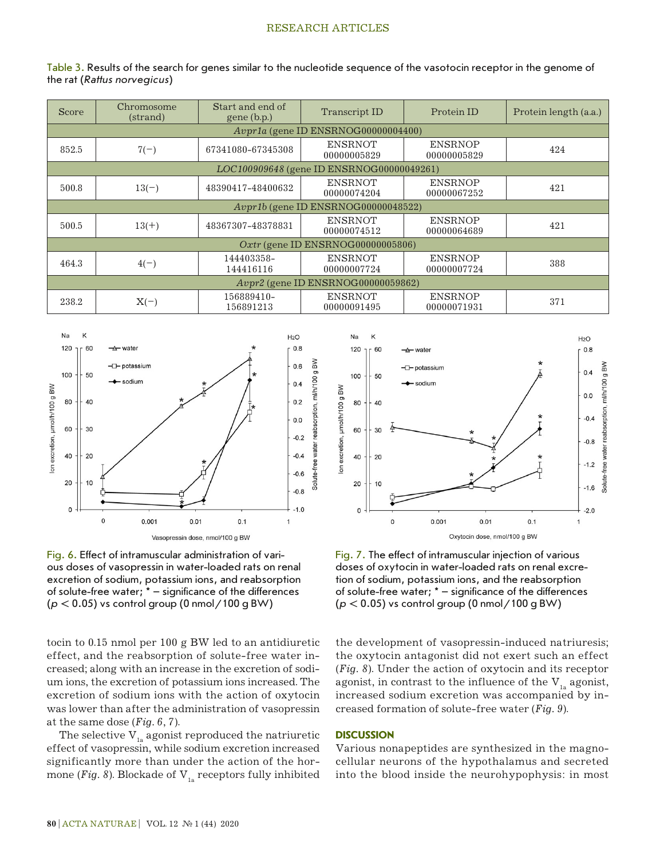| Table 3. Results of the search for genes similar to the nucleotide sequence of the vasotocin receptor in the genome of |  |  |  |
|------------------------------------------------------------------------------------------------------------------------|--|--|--|
| the rat (Rattus norvegicus)                                                                                            |  |  |  |

| <b>Score</b>                         | Chromosome<br>(strand)                    | Start and end of<br>$gene$ (b.p.) | Transcript ID                 | Protein ID                    | Protein length (a.a.) |
|--------------------------------------|-------------------------------------------|-----------------------------------|-------------------------------|-------------------------------|-----------------------|
|                                      | $Avpr1a$ (gene ID ENSRNOG00000004400)     |                                   |                               |                               |                       |
| 852.5                                | $7(-)$                                    | 67341080-67345308                 | <b>ENSRNOT</b><br>00000005829 | <b>ENSRNOP</b><br>00000005829 | 424                   |
|                                      | LOC100909648 (gene ID ENSRNOG00000049261) |                                   |                               |                               |                       |
| 500.8                                | $13(-)$                                   | 48390417-48400632                 | <b>ENSRNOT</b><br>00000074204 | <b>ENSRNOP</b><br>00000067252 | 421                   |
|                                      | $Avpr1b$ (gene ID ENSRNOG00000048522)     |                                   |                               |                               |                       |
| 500.5                                | $13(+)$                                   | 48367307-48378831                 | <b>ENSRNOT</b><br>00000074512 | <b>ENSRNOP</b><br>00000064689 | 421                   |
| $Oxtr$ (gene ID ENSRNOG00000005806)  |                                           |                                   |                               |                               |                       |
| 464.3                                | $4(-)$                                    | 144403358-<br>144416116           | <b>ENSRNOT</b><br>00000007724 | <b>ENSRNOP</b><br>00000007724 | 388                   |
| $Avpr2$ (gene ID ENSRNOG00000059862) |                                           |                                   |                               |                               |                       |
| 238.2                                | $X(-)$                                    | 156889410-<br>156891213           | <b>ENSRNOT</b><br>00000091495 | <b>ENSRNOP</b><br>00000071931 | 371                   |





tocin to 0.15 nmol per 100 g BW led to an antidiuretic effect, and the reabsorption of solute-free water increased; along with an increase in the excretion of sodium ions, the excretion of potassium ions increased. The excretion of sodium ions with the action of oxytocin was lower than after the administration of vasopressin at the same dose (*Fig. 6*, *7*).

The selective  $V_{1a}$  agonist reproduced the natriuretic effect of vasopressin, while sodium excretion increased significantly more than under the action of the hormone (*Fig. 8*). Blockade of  $V_{1a}$  receptors fully inhibited



Fig. 7. The effect of intramuscular injection of various doses of oxytocin in water-loaded rats on renal excretion of sodium, potassium ions, and the reabsorption of solute-free water; \* – significance of the differences (*p* < 0.05) vs control group (0 nmol/100 g BW)

the development of vasopressin-induced natriuresis; the oxytocin antagonist did not exert such an effect (*Fig. 8*). Under the action of oxytocin and its receptor agonist, in contrast to the influence of the  $V_{1a}$  agonist, increased sodium excretion was accompanied by increased formation of solute-free water (*Fig. 9*).

## **DISCUSSION**

Various nonapeptides are synthesized in the magnocellular neurons of the hypothalamus and secreted into the blood inside the neurohypophysis: in most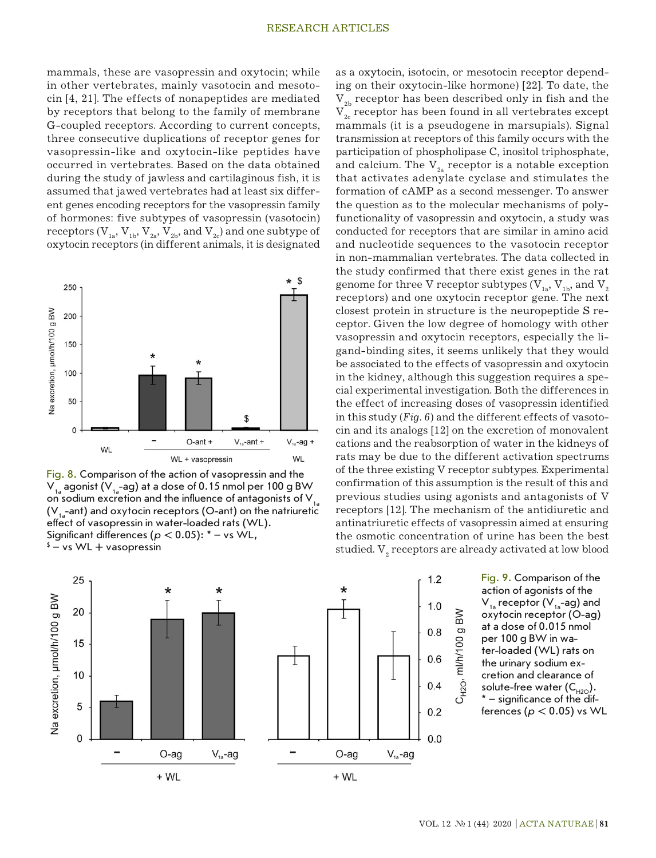mammals, these are vasopressin and oxytocin; while in other vertebrates, mainly vasotocin and mesotocin [4, 21]. The effects of nonapeptides are mediated by receptors that belong to the family of membrane G-coupled receptors. According to current concepts, three consecutive duplications of receptor genes for vasopressin-like and oxytocin-like peptides have occurred in vertebrates. Based on the data obtained during the study of jawless and cartilaginous fish, it is assumed that jawed vertebrates had at least six different genes encoding receptors for the vasopressin family of hormones: five subtypes of vasopressin (vasotocin) receptors  $(V_{1a}, V_{1b}, V_{2a}, V_{2b},$  and  $V_{2c}$ ) and one subtype of oxytocin receptors (in different animals, it is designated



Fig. 8. Comparison of the action of vasopressin and the  $V_{1a}$  agonist (V<sub>1a</sub>-ag) at a dose of 0.15 nmol per 100 g BW on sodium excretion and the influence of antagonists of  $V_{1a}$  $(V_{1}$ -ant) and oxytocin receptors (O-ant) on the natriuretic effect of vasopressin in water-loaded rats (WL). Significant differences (*p* < 0.05): \* – vs WL,  $\text{\^{s}}$  – vs WL + vasopressin



as a oxytocin, isotocin, or mesotocin receptor depending on their oxytocin-like hormone) [22]. To date, the  $V_{2h}$  receptor has been described only in fish and the  $V<sub>2</sub>$  receptor has been found in all vertebrates except mammals (it is a pseudogene in marsupials). Signal transmission at receptors of this family occurs with the participation of phospholipase C, inositol triphosphate, and calcium. The  $V_{2a}$  receptor is a notable exception that activates adenylate cyclase and stimulates the formation of cAMP as a second messenger. To answer the question as to the molecular mechanisms of polyfunctionality of vasopressin and oxytocin, a study was conducted for receptors that are similar in amino acid and nucleotide sequences to the vasotocin receptor in non-mammalian vertebrates. The data collected in the study confirmed that there exist genes in the rat genome for three V receptor subtypes  $(V_{1a}, V_{1b},$  and  $V_{2a}$ receptors) and one oxytocin receptor gene. The next closest protein in structure is the neuropeptide S receptor. Given the low degree of homology with other vasopressin and oxytocin receptors, especially the ligand-binding sites, it seems unlikely that they would be associated to the effects of vasopressin and oxytocin in the kidney, although this suggestion requires a special experimental investigation. Both the differences in the effect of increasing doses of vasopressin identified in this study (*Fig. 6*) and the different effects of vasotocin and its analogs [12] on the excretion of monovalent cations and the reabsorption of water in the kidneys of rats may be due to the different activation spectrums of the three existing V receptor subtypes. Experimental confirmation of this assumption is the result of this and previous studies using agonists and antagonists of V receptors [12]. The mechanism of the antidiuretic and antinatriuretic effects of vasopressin aimed at ensuring the osmotic concentration of urine has been the best studied.  $\mathrm{V}_\mathrm{_2}$  receptors are already activated at low blood

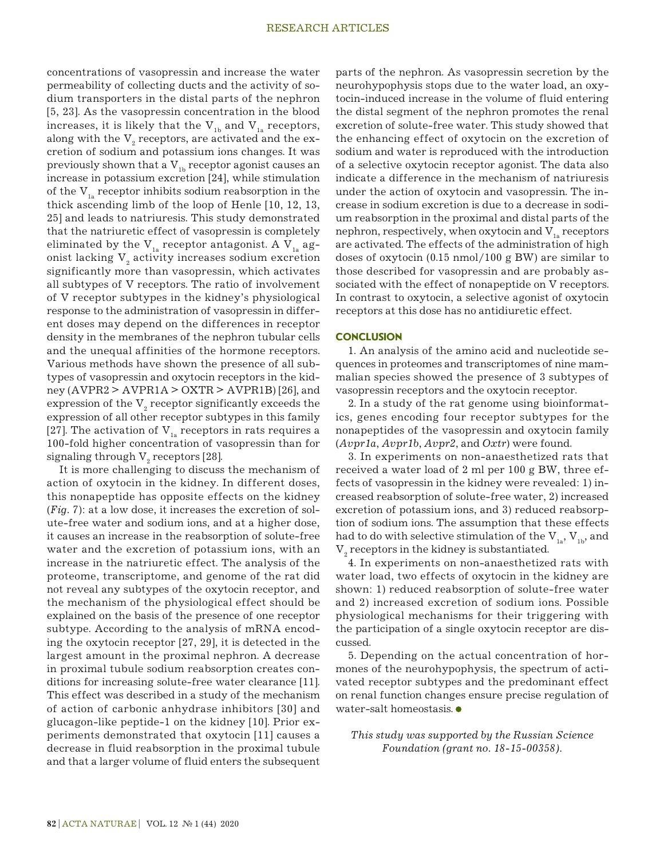concentrations of vasopressin and increase the water permeability of collecting ducts and the activity of sodium transporters in the distal parts of the nephron [5, 23]. As the vasopressin concentration in the blood increases, it is likely that the  $V_{1b}$  and  $V_{1a}$  receptors, along with the  $\mathrm{V}_\mathrm{_2}$  receptors, are activated and the excretion of sodium and potassium ions changes. It was previously shown that a  $V_{1b}$  receptor agonist causes an increase in potassium excretion [24], while stimulation of the  $V_{1a}$  receptor inhibits sodium reabsorption in the thick ascending limb of the loop of Henle [10, 12, 13, 25] and leads to natriuresis. This study demonstrated that the natriuretic effect of vasopressin is completely eliminated by the  $V_{1a}$  receptor antagonist. A  $V_{1a}$  agonist lacking  $\mathrm{V}_\mathrm{2}$  activity increases sodium excretion significantly more than vasopressin, which activates all subtypes of V receptors. The ratio of involvement of V receptor subtypes in the kidney's physiological response to the administration of vasopressin in different doses may depend on the differences in receptor density in the membranes of the nephron tubular cells and the unequal affinities of the hormone receptors. Various methods have shown the presence of all subtypes of vasopressin and oxytocin receptors in the kid $ney (AVPR2 > AVPR1A > OXTR > AVPR1B)$  [26], and expression of the  $\mathrm{V}_\mathrm{2}$  receptor significantly exceeds the expression of all other receptor subtypes in this family [27]. The activation of  $V_{1a}$  receptors in rats requires a 100-fold higher concentration of vasopressin than for signaling through  $\mathrm{V}_{_2}$  receptors [28].

It is more challenging to discuss the mechanism of action of oxytocin in the kidney. In different doses, this nonapeptide has opposite effects on the kidney (*Fig. 7*): at a low dose, it increases the excretion of solute-free water and sodium ions, and at a higher dose, it causes an increase in the reabsorption of solute-free water and the excretion of potassium ions, with an increase in the natriuretic effect. The analysis of the proteome, transcriptome, and genome of the rat did not reveal any subtypes of the oxytocin receptor, and the mechanism of the physiological effect should be explained on the basis of the presence of one receptor subtype. According to the analysis of mRNA encoding the oxytocin receptor [27, 29], it is detected in the largest amount in the proximal nephron. A decrease in proximal tubule sodium reabsorption creates conditions for increasing solute-free water clearance [11]. This effect was described in a study of the mechanism of action of carbonic anhydrase inhibitors [30] and glucagon-like peptide-1 on the kidney [10]. Prior experiments demonstrated that oxytocin [11] causes a decrease in fluid reabsorption in the proximal tubule and that a larger volume of fluid enters the subsequent parts of the nephron. As vasopressin secretion by the neurohypophysis stops due to the water load, an oxytocin-induced increase in the volume of fluid entering the distal segment of the nephron promotes the renal excretion of solute-free water. This study showed that the enhancing effect of oxytocin on the excretion of sodium and water is reproduced with the introduction of a selective oxytocin receptor agonist. The data also indicate a difference in the mechanism of natriuresis under the action of oxytocin and vasopressin. The increase in sodium excretion is due to a decrease in sodium reabsorption in the proximal and distal parts of the nephron, respectively, when oxytocin and  $V_{1a}$  receptors are activated. The effects of the administration of high doses of oxytocin (0.15 nmol/100 g BW) are similar to those described for vasopressin and are probably associated with the effect of nonapeptide on V receptors. In contrast to oxytocin, a selective agonist of oxytocin receptors at this dose has no antidiuretic effect.

## **CONCLUSION**

1. An analysis of the amino acid and nucleotide sequences in proteomes and transcriptomes of nine mammalian species showed the presence of 3 subtypes of vasopressin receptors and the oxytocin receptor.

2. In a study of the rat genome using bioinformatics, genes encoding four receptor subtypes for the nonapeptides of the vasopressin and oxytocin family (*Avpr1a*, *Avpr1b*, *Avpr2*, and *Oxtr*) were found.

3. In experiments on non-anaesthetized rats that received a water load of 2 ml per 100 g BW, three effects of vasopressin in the kidney were revealed: 1) increased reabsorption of solute-free water, 2) increased excretion of potassium ions, and 3) reduced reabsorption of sodium ions. The assumption that these effects had to do with selective stimulation of the  $V_{1a}$ ,  $V_{1b}$ , and  $\mathrm{V}_\mathrm{2}$  receptors in the kidney is substantiated.

4. In experiments on non-anaesthetized rats with water load, two effects of oxytocin in the kidney are shown: 1) reduced reabsorption of solute-free water and 2) increased excretion of sodium ions. Possible physiological mechanisms for their triggering with the participation of a single oxytocin receptor are discussed.

5. Depending on the actual concentration of hormones of the neurohypophysis, the spectrum of activated receptor subtypes and the predominant effect on renal function changes ensure precise regulation of water-salt homeostasis.

# *This study was supported by the Russian Science Foundation (grant no. 18-15-00358).*